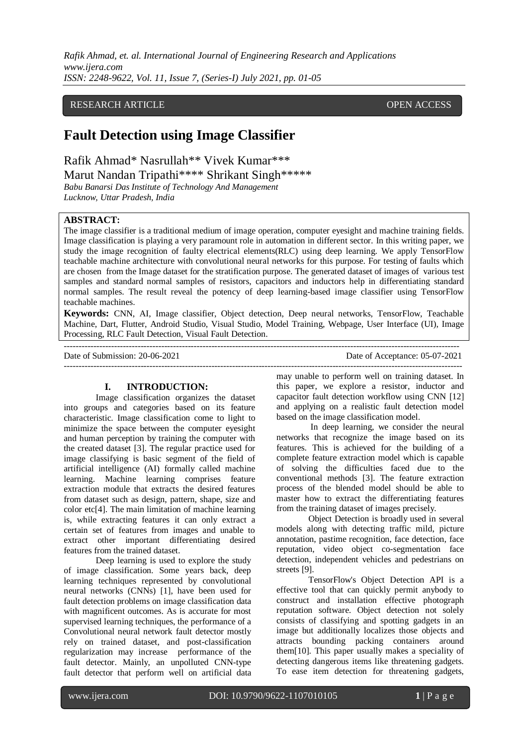*Rafik Ahmad, et. al. International Journal of Engineering Research and Applications www.ijera.com ISSN: 2248-9622, Vol. 11, Issue 7, (Series-I) July 2021, pp. 01-05*

# RESEARCH ARTICLE **CONSERVERS** OPEN ACCESS

# **Fault Detection using Image Classifier**

Rafik Ahmad\* Nasrullah\*\* Vivek Kumar\*\*\* Marut Nandan Tripathi\*\*\*\* Shrikant Singh\*\*\*\*\*

*Babu Banarsi Das Institute of Technology And Management Lucknow, Uttar Pradesh, India*

# **ABSTRACT:**

The image classifier is a traditional medium of image operation, computer eyesight and machine training fields. Image classification is playing a very paramount role in automation in different sector. In this writing paper, we study the image recognition of faulty electrical elements(RLC) using deep learning. We apply TensorFlow teachable machine architecture with convolutional neural networks for this purpose. For testing of faults which are chosen from the Image dataset for the stratification purpose. The generated dataset of images of various test samples and standard normal samples of resistors, capacitors and inductors help in differentiating standard normal samples. The result reveal the potency of deep learning-based image classifier using TensorFlow teachable machines.

**Keywords:** CNN, AI, Image classifier, Object detection, Deep neural networks, TensorFlow, Teachable Machine, Dart, Flutter, Android Studio, Visual Studio, Model Training, Webpage, User Interface (UI), Image Processing, RLC Fault Detection, Visual Fault Detection.

-------------------------------------------------------------------------------------------------------------------------------------- ---------------------------------------------------------------------------------------------------------------------------------------

Date of Submission: 20-06-2021 Date of Acceptance: 05-07-2021

## **I. INTRODUCTION:**

Image classification organizes the dataset into groups and categories based on its feature characteristic. Image classification come to light to minimize the space between the computer eyesight and human perception by training the computer with the created dataset [3]. The regular practice used for image classifying is basic segment of the field of artificial intelligence (AI) formally called machine learning. Machine learning comprises feature extraction module that extracts the desired features from dataset such as design, pattern, shape, size and color etc[4]. The main limitation of machine learning is, while extracting features it can only extract a certain set of features from images and unable to extract other important differentiating desired features from the trained dataset.

Deep learning is used to explore the study of image classification. Some years back, deep learning techniques represented by convolutional neural networks (CNNs) [1], have been used for fault detection problems on image classification data with magnificent outcomes. As is accurate for most supervised learning techniques, the performance of a Convolutional neural network fault detector mostly rely on trained dataset, and post-classification regularization may increase performance of the fault detector. Mainly, an unpolluted CNN-type fault detector that perform well on artificial data may unable to perform well on training dataset. In this paper, we explore a resistor, inductor and capacitor fault detection workflow using CNN [12] and applying on a realistic fault detection model based on the image classification model.

In deep learning, we consider the neural networks that recognize the image based on its features. This is achieved for the building of a complete feature extraction model which is capable of solving the difficulties faced due to the conventional methods [3]. The feature extraction process of the blended model should be able to master how to extract the differentiating features from the training dataset of images precisely*.*

Object Detection is broadly used in several models along with detecting traffic mild, picture annotation, pastime recognition, face detection, face reputation, video object co-segmentation face detection, independent vehicles and pedestrians on streets [9].

TensorFlow's Object Detection API is a effective tool that can quickly permit anybody to construct and installation effective photograph reputation software. Object detection not solely consists of classifying and spotting gadgets in an image but additionally localizes those objects and attracts bounding packing containers around them[10]. This paper usually makes a speciality of detecting dangerous items like threatening gadgets. To ease item detection for threatening gadgets,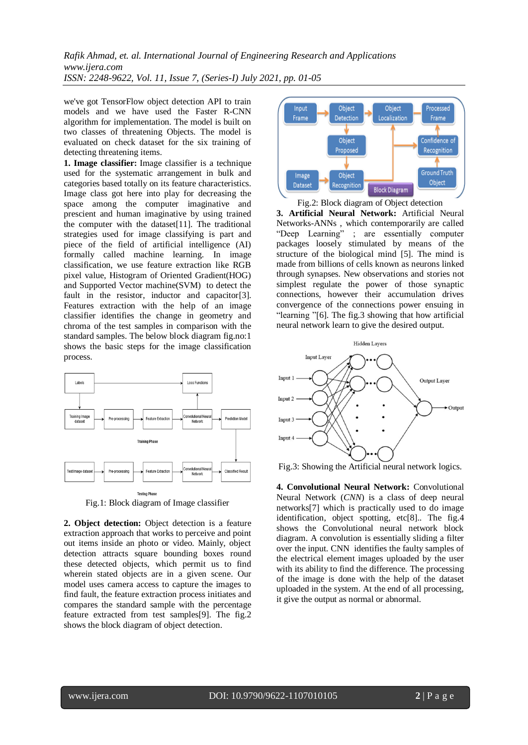*Rafik Ahmad, et. al. International Journal of Engineering Research and Applications www.ijera.com ISSN: 2248-9622, Vol. 11, Issue 7, (Series-I) July 2021, pp. 01-05*

we've got TensorFlow object detection API to train models and we have used the Faster R-CNN algorithm for implementation. The model is built on two classes of threatening Objects. The model is evaluated on check dataset for the six training of detecting threatening items.

**1. Image classifier:** Image classifier is a technique used for the systematic arrangement in bulk and categories based totally on its feature characteristics. Image class got here into play for decreasing the space among the computer imaginative and prescient and human imaginative by using trained the computer with the dataset[11]. The traditional strategies used for image classifying is part and piece of the field of artificial intelligence (AI) formally called machine learning. In image classification, we use feature extraction like RGB pixel value, Histogram of Oriented Gradient(HOG) and Supported Vector machine(SVM) to detect the fault in the resistor, inductor and capacitor[3]. Features extraction with the help of an image classifier identifies the change in geometry and chroma of the test samples in comparison with the standard samples. The below block diagram fig.no:1 shows the basic steps for the image classification process.



Fig.1: Block diagram of Image classifier

**2. Object detection:** Object detection is a feature extraction approach that works to perceive and point out items inside an photo or video. Mainly, object detection attracts square bounding boxes round these detected objects, which permit us to find wherein stated objects are in a given scene. Our model uses camera access to capture the images to find fault, the feature extraction process initiates and compares the standard sample with the percentage feature extracted from test samples[9]. The fig.2 shows the block diagram of object detection.



Fig.2: Block diagram of Object detection **3. Artificial Neural Network:** Artificial Neural Networks-ANNs , which contemporarily are called "Deep Learning" ; are essentially computer packages loosely stimulated by means of the structure of the biological mind [5]. The mind is made from billions of cells known as neurons linked through synapses. New observations and stories not simplest regulate the power of those synaptic connections, however their accumulation drives convergence of the connections power ensuing in "learning "[6]. The fig.3 showing that how artificial neural network learn to give the desired output.



Fig.3: Showing the Artificial neural network logics.

**4. Convolutional Neural Network:** Convolutional Neural Network (*CNN*) is a class of deep neural networks[7] which is practically used to do image identification, object spotting, etc[8].. The fig.4 shows the Convolutional neural network block diagram. A convolution is essentially sliding a filter over the input. CNN identifies the faulty samples of the electrical element images uploaded by the user with its ability to find the difference. The processing of the image is done with the help of the dataset uploaded in the system. At the end of all processing, it give the output as normal or abnormal.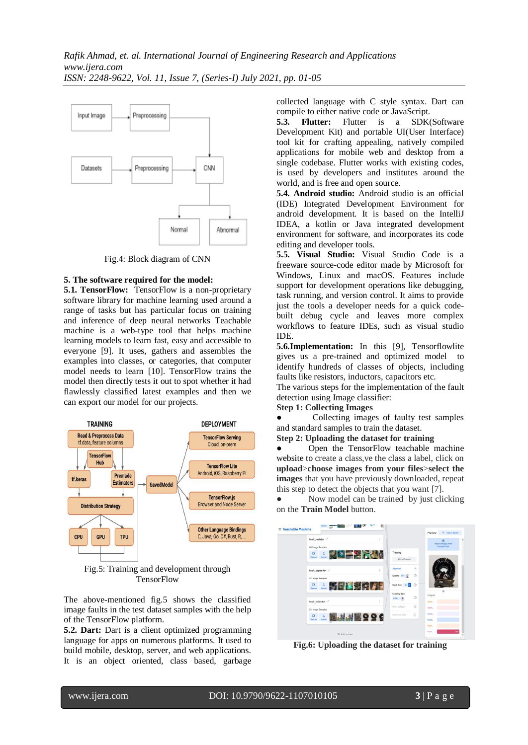

Fig.4: Block diagram of CNN

#### **5. The software required for the model:**

**5.1. TensorFlow:** TensorFlow is a non-proprietary software library for machine learning used around a range of tasks but has particular focus on training and inference of deep neural networks Teachable machine is a web-type tool that helps machine learning models to learn fast, easy and accessible to everyone [9]. It uses, gathers and assembles the examples into classes, or categories, that computer model needs to learn [10]. TensorFlow trains the model then directly tests it out to spot whether it had flawlessly classified latest examples and then we can export our model for our projects.



Fig.5: Training and development through **TensorFlow** 

The above-mentioned fig.5 shows the classified image faults in the test dataset samples with the help of the TensorFlow platform.

**5.2. Dart:** Dart is a client optimized programming language for apps on numerous platforms. It used to build mobile, desktop, server, and web applications. It is an object oriented, class based, garbage

collected language with C style syntax. Dart can compile to either native code or JavaScript.<br>5.3. Flutter: Flutter is a SDK

**5.3. Flutter:** Flutter is a SDK(Software Development Kit) and portable UI(User Interface) tool kit for crafting appealing, natively compiled applications for mobile web and desktop from a single codebase. Flutter works with existing codes, is used by developers and institutes around the world, and is free and open source.

**5.4. Android studio:** Android studio is an official (IDE) Integrated Development Environment for android development. It is based on the IntelliJ IDEA, a kotlin or Java integrated development environment for software, and incorporates its code editing and developer tools.

**5.5. Visual Studio:** Visual Studio Code is a freeware source-code editor made by Microsoft for Windows, Linux and macOS. Features include support for development operations like debugging, task running, and version control. It aims to provide just the tools a developer needs for a quick codebuilt debug cycle and leaves more complex workflows to feature IDEs, such as visual studio IDE.

**5.6.Implementation:** In this [9], Tensorflowlite gives us a pre-trained and optimized model to identify hundreds of classes of objects, including faults like resistors, inductors, capacitors etc.

The various steps for the implementation of the fault detection using Image classifier:

#### **Step 1: Collecting Images**

Collecting images of faulty test samples and standard samples to train the dataset.

**Step 2: Uploading the dataset for training**

Open the TensorFlow teachable machine website to create a class, ve the class a label, click on **upload**>**choose images from your files**>**select the images** that you have previously downloaded, repeat this step to detect the objects that you want [7].

• Now model can be trained by just clicking on the **Train Model** button.



**Fig.6: Uploading the dataset for training**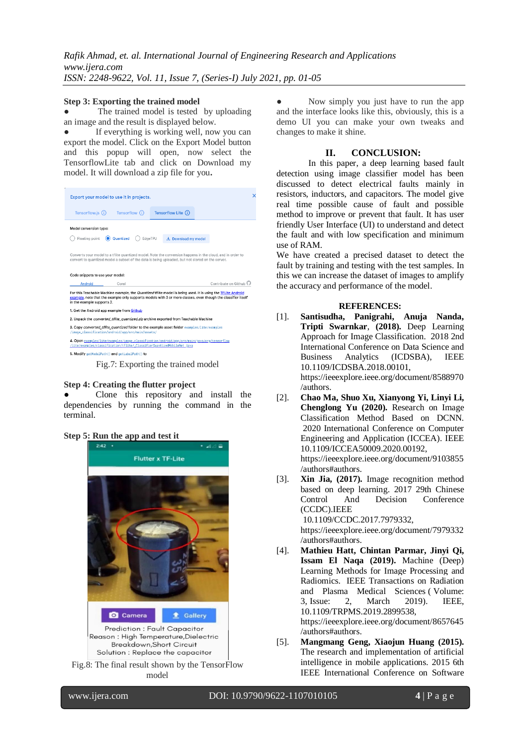#### **Step 3: Exporting the trained model**

The trained model is tested by uploading an image and the result is displayed below.

If everything is working well, now you can export the model. Click on the Export Model button and this popup will open, now select the TensorflowLite tab and click on Download my model. It will download a zip file for you**.**

| Tensorflow (i)                                                                                                                                                                                                 | Tensorflow Lite (i)                                                                                                                                                     |                                                                                                                                                                                                                               |
|----------------------------------------------------------------------------------------------------------------------------------------------------------------------------------------------------------------|-------------------------------------------------------------------------------------------------------------------------------------------------------------------------|-------------------------------------------------------------------------------------------------------------------------------------------------------------------------------------------------------------------------------|
|                                                                                                                                                                                                                |                                                                                                                                                                         |                                                                                                                                                                                                                               |
|                                                                                                                                                                                                                | $\downarrow$ . Download my model                                                                                                                                        |                                                                                                                                                                                                                               |
| Converts your model to a tflite quantized model. Note the conversion happens in the cloud, and in order to<br>convert to quantized model a subset of the data is being uploaded, but not stored on the server. |                                                                                                                                                                         |                                                                                                                                                                                                                               |
|                                                                                                                                                                                                                |                                                                                                                                                                         |                                                                                                                                                                                                                               |
| Coral                                                                                                                                                                                                          |                                                                                                                                                                         | Contribute on Github <sup>C</sup>                                                                                                                                                                                             |
|                                                                                                                                                                                                                |                                                                                                                                                                         |                                                                                                                                                                                                                               |
| in the example supports 2.                                                                                                                                                                                     |                                                                                                                                                                         | For this Teachable Machine example, the Quantized tflite model is being used. It is using the TFLite Android<br>example, note that the example only supports models with 3 or more classes, even though the classifier itself |
| 1. Get the Android app example from Github                                                                                                                                                                     | 2. Unpack the converted tflite quantized.zip archive exported from Teachable Machine                                                                                    |                                                                                                                                                                                                                               |
| /image_classification/android/app/src/main/assets/                                                                                                                                                             | 3. Copy converted tflite quantized folder to the example asset folder examples/lite/examples                                                                            |                                                                                                                                                                                                                               |
|                                                                                                                                                                                                                | 4. Open examples/lite/examples/image_classification/android/app/src/main/java/org/tensorflow<br>/lite/examples/classification/tflite/_ClassifierOuantizedMobileNet.java |                                                                                                                                                                                                                               |
|                                                                                                                                                                                                                | Model conversion type:<br>(a) Quantized<br>Code snippets to use your model:                                                                                             | Export your model to use it in projects.<br>EdgeTPU                                                                                                                                                                           |

Fig.7: Exporting the trained model

#### **Step 4: Creating the flutter project**

Clone [this](https://github.com/skullcandy69/ObjectDetection.git) repository and install the dependencies by running the command in the terminal.

## **Step 5: Run the app and test it**



Fig.8: The final result shown by the TensorFlow model

Now simply you just have to run the app and the interface looks like this, obviously, this is a demo UI you can make your own tweaks and changes to make it shine.

## **II. CONCLUSION:**

In this paper, a deep learning based fault detection using image classifier model has been discussed to detect electrical faults mainly in resistors, inductors, and capacitors. The model give real time possible cause of fault and possible method to improve or prevent that fault. It has user friendly User Interface (UI) to understand and detect the fault and with low specification and minimum use of RAM.

We have created a precised dataset to detect the fault by training and testing with the test samples. In this we can increase the dataset of images to amplify the accuracy and performance of the model.

#### **REFERENCES:**

- [1]. **[Santisudha, Panigrahi,](https://ieeexplore.ieee.org/author/37086590492) [Anuja Nanda,](https://ieeexplore.ieee.org/author/37086585810) Tripti Swarnkar**, **(2018).** Deep Learning Approach for Image Classification. [2018 2nd](https://ieeexplore.ieee.org/xpl/conhome/8588452/proceeding)  [International Conference on Data Science and](https://ieeexplore.ieee.org/xpl/conhome/8588452/proceeding)  [Business Analytics \(ICDSBA\),](https://ieeexplore.ieee.org/xpl/conhome/8588452/proceeding) IEEE [10.1109/ICDSBA.2018.00101,](https://doi.org/10.1109/ICDSBA.2018.00101) [https://ieeexplore.ieee.org/document/8588970](https://ieeexplore.ieee.org/document/8588970/authors) [/authors.](https://ieeexplore.ieee.org/document/8588970/authors)
- [2]. **[Chao Ma,](https://ieeexplore.ieee.org/author/37088411414) [Shuo Xu,](https://ieeexplore.ieee.org/author/37088411888) [Xianyong Yi,](https://ieeexplore.ieee.org/author/37088411853) [Linyi Li,](https://ieeexplore.ieee.org/author/37088411838) [Chenglong Yu](https://ieeexplore.ieee.org/author/37088411466) (2020).** Research on Image Classification Method Based on DCNN. [2020 International Conference on Computer](https://ieeexplore.ieee.org/xpl/conhome/9102208/proceeding)  [Engineering and Application \(ICCEA\).](https://ieeexplore.ieee.org/xpl/conhome/9102208/proceeding) IEEE [10.1109/ICCEA50009.2020.00192,](https://doi.org/10.1109/ICCEA50009.2020.00192) [https://ieeexplore.ieee.org/document/9103855](https://ieeexplore.ieee.org/document/9103855/authors#authors) [/authors#authors.](https://ieeexplore.ieee.org/document/9103855/authors#authors)
- [3]. **[Xin Jia,](https://ieeexplore.ieee.org/author/37085996746) (2017).** Image recognition method based on deep learning. [2017 29th Chinese](https://ieeexplore.ieee.org/xpl/conhome/7961861/proceeding)  [Control And Decision Conference](https://ieeexplore.ieee.org/xpl/conhome/7961861/proceeding)  [\(CCDC\).](https://ieeexplore.ieee.org/xpl/conhome/7961861/proceeding)IEEE [10.1109/CCDC.2017.7979332,](https://doi.org/10.1109/CCDC.2017.7979332) [https://ieeexplore.ieee.org/document/7979332](https://ieeexplore.ieee.org/document/7979332/authors#authors)

[/authors#authors.](https://ieeexplore.ieee.org/document/7979332/authors#authors)

- [4]. **[Mathieu Hatt,](https://ieeexplore.ieee.org/author/37294226300) [Chintan Parmar,](https://ieeexplore.ieee.org/author/37086694778) [Jinyi Qi,](https://ieeexplore.ieee.org/author/37085362406) [Issam El Naqa](https://ieeexplore.ieee.org/author/37273011900) (2019).** Machine (Deep) Learning Methods for Image Processing and Radiomics. [IEEE Transactions on Radiation](https://ieeexplore.ieee.org/xpl/RecentIssue.jsp?punumber=7433213)  [and Plasma Medical Sciences](https://ieeexplore.ieee.org/xpl/RecentIssue.jsp?punumber=7433213) ( Volume: 3, [Issue: 2,](https://ieeexplore.ieee.org/xpl/tocresult.jsp?isnumber=8657419) March 2019). IEEE, [10.1109/TRPMS.2019.2899538,](https://doi.org/10.1109/TRPMS.2019.2899538) [https://ieeexplore.ieee.org/document/8657645](https://ieeexplore.ieee.org/document/8657645/authors#authors) [/authors#authors.](https://ieeexplore.ieee.org/document/8657645/authors#authors)
- [5]. **[Mangmang Geng,](https://ieeexplore.ieee.org/author/37085715769) [Xiaojun Huang](https://ieeexplore.ieee.org/author/37600928400) (2015).** The research and implementation of artificial intelligence in mobile applications. [2015 6th](https://ieeexplore.ieee.org/xpl/conhome/7324165/proceeding)  [IEEE International Conference on Software](https://ieeexplore.ieee.org/xpl/conhome/7324165/proceeding)